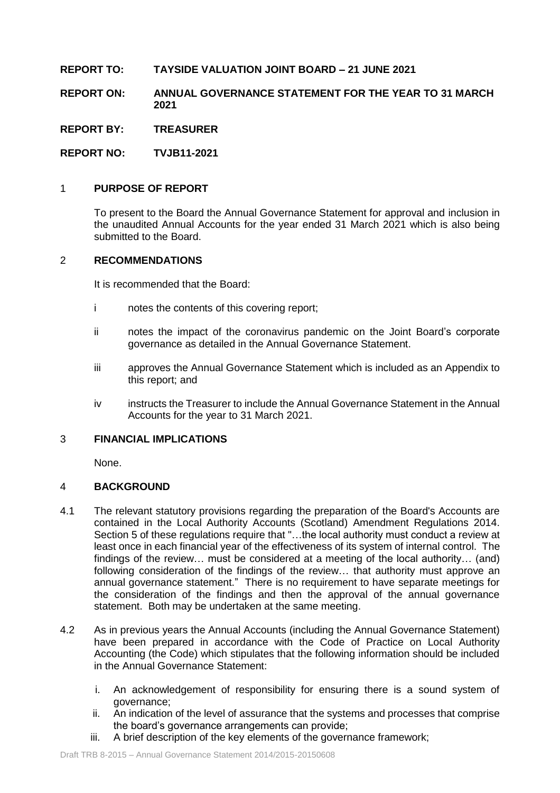# **REPORT TO: TAYSIDE VALUATION JOINT BOARD – 21 JUNE 2021**

**REPORT ON: ANNUAL GOVERNANCE STATEMENT FOR THE YEAR TO 31 MARCH 2021**

**REPORT BY: TREASURER**

**REPORT NO: TVJB11-2021**

# 1 **PURPOSE OF REPORT**

To present to the Board the Annual Governance Statement for approval and inclusion in the unaudited Annual Accounts for the year ended 31 March 2021 which is also being submitted to the Board.

## 2 **RECOMMENDATIONS**

It is recommended that the Board:

- i notes the contents of this covering report;
- ii notes the impact of the coronavirus pandemic on the Joint Board's corporate governance as detailed in the Annual Governance Statement.
- iii approves the Annual Governance Statement which is included as an Appendix to this report; and
- iv instructs the Treasurer to include the Annual Governance Statement in the Annual Accounts for the year to 31 March 2021.

# 3 **FINANCIAL IMPLICATIONS**

None.

# 4 **BACKGROUND**

- 4.1 The relevant statutory provisions regarding the preparation of the Board's Accounts are contained in the Local Authority Accounts (Scotland) Amendment Regulations 2014. Section 5 of these regulations require that "...the local authority must conduct a review at least once in each financial year of the effectiveness of its system of internal control. The findings of the review… must be considered at a meeting of the local authority… (and) following consideration of the findings of the review… that authority must approve an annual governance statement." There is no requirement to have separate meetings for the consideration of the findings and then the approval of the annual governance statement. Both may be undertaken at the same meeting.
- 4.2 As in previous years the Annual Accounts (including the Annual Governance Statement) have been prepared in accordance with the Code of Practice on Local Authority Accounting (the Code) which stipulates that the following information should be included in the Annual Governance Statement:
	- i. An acknowledgement of responsibility for ensuring there is a sound system of governance;
	- ii. An indication of the level of assurance that the systems and processes that comprise the board's governance arrangements can provide;
	- iii. A brief description of the key elements of the governance framework;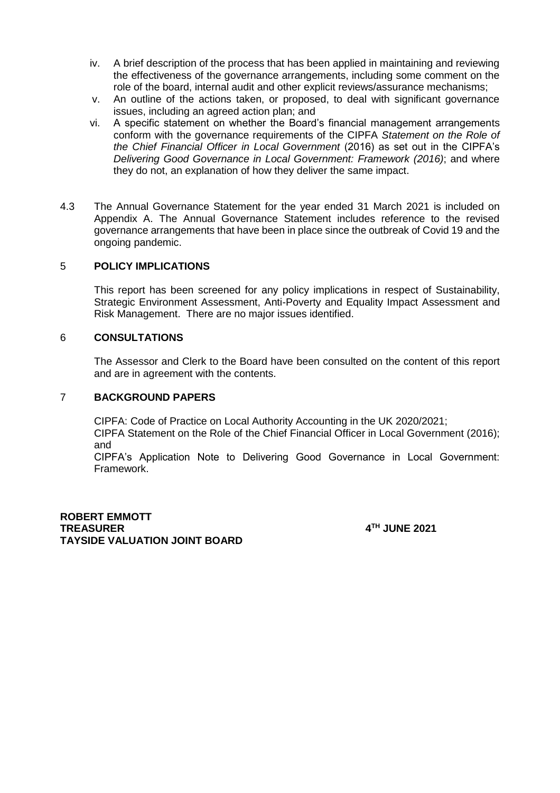- iv. A brief description of the process that has been applied in maintaining and reviewing the effectiveness of the governance arrangements, including some comment on the role of the board, internal audit and other explicit reviews/assurance mechanisms;
- v. An outline of the actions taken, or proposed, to deal with significant governance issues, including an agreed action plan; and
- vi. A specific statement on whether the Board's financial management arrangements conform with the governance requirements of the CIPFA *Statement on the Role of the Chief Financial Officer in Local Government* (2016) as set out in the CIPFA's *Delivering Good Governance in Local Government: Framework (2016)*; and where they do not, an explanation of how they deliver the same impact.
- 4.3 The Annual Governance Statement for the year ended 31 March 2021 is included on Appendix A. The Annual Governance Statement includes reference to the revised governance arrangements that have been in place since the outbreak of Covid 19 and the ongoing pandemic.

# 5 **POLICY IMPLICATIONS**

This report has been screened for any policy implications in respect of Sustainability, Strategic Environment Assessment, Anti-Poverty and Equality Impact Assessment and Risk Management. There are no major issues identified.

## 6 **CONSULTATIONS**

The Assessor and Clerk to the Board have been consulted on the content of this report and are in agreement with the contents.

### 7 **BACKGROUND PAPERS**

CIPFA: Code of Practice on Local Authority Accounting in the UK 2020/2021; CIPFA Statement on the Role of the Chief Financial Officer in Local Government (2016); and

CIPFA's Application Note to Delivering Good Governance in Local Government: Framework.

**ROBERT EMMOTT TREASURER 4 TAYSIDE VALUATION JOINT BOARD**

**TH JUNE 2021**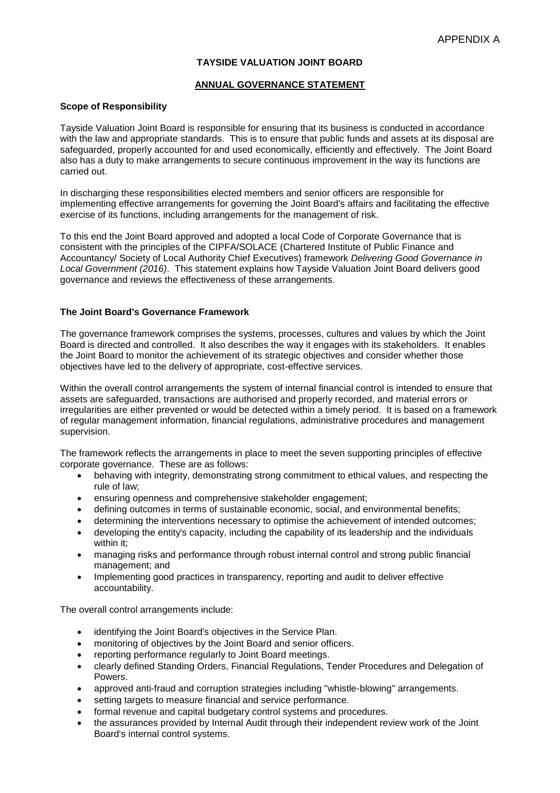### **TAYSIDE VALUATION JOINT BOARD**

#### **ANNUAL GOVERNANCE STATEMENT**

### **Scope of Responsibility**

Tayside Valuation Joint Board is responsible for ensuring that its business is conducted in accordance with the law and appropriate standards. This is to ensure that public funds and assets at its disposal are safeguarded, properly accounted for and used economically, efficiently and effectively. The Joint Board also has a duty to make arrangements to secure continuous improvement in the way its functions are carried out.

In discharging these responsibilities elected members and senior officers are responsible for implementing effective arrangements for governing the Joint Board's affairs and facilitating the effective exercise of its functions, including arrangements for the management of risk.

To this end the Joint Board approved and adopted a local Code of Corporate Governance that is consistent with the principles of the CIPFA/SOLACE (Chartered Institute of Public Finance and Accountancy/ Society of Local Authority Chief Executives) framework *Delivering Good Governance in Local Government (2016)*. This statement explains how Tayside Valuation Joint Board delivers good governance and reviews the effectiveness of these arrangements.

#### **The Joint Board's Governance Framework**

The governance framework comprises the systems, processes, cultures and values by which the Joint Board is directed and controlled. It also describes the way it engages with its stakeholders. It enables the Joint Board to monitor the achievement of its strategic objectives and consider whether those objectives have led to the delivery of appropriate, cost-effective services.

Within the overall control arrangements the system of internal financial control is intended to ensure that assets are safeguarded, transactions are authorised and properly recorded, and material errors or irregularities are either prevented or would be detected within a timely period. It is based on a framework of regular management information, financial regulations, administrative procedures and management supervision.

The framework reflects the arrangements in place to meet the seven supporting principles of effective corporate governance. These are as follows:

- behaving with integrity, demonstrating strong commitment to ethical values, and respecting the rule of law;
- ensuring openness and comprehensive stakeholder engagement;
- defining outcomes in terms of sustainable economic, social, and environmental benefits;
- determining the interventions necessary to optimise the achievement of intended outcomes;
- developing the entity's capacity, including the capability of its leadership and the individuals within it;
- managing risks and performance through robust internal control and strong public financial management; and
- Implementing good practices in transparency, reporting and audit to deliver effective accountability.

The overall control arrangements include:

- identifying the Joint Board's objectives in the Service Plan.
- monitoring of objectives by the Joint Board and senior officers.
- reporting performance regularly to Joint Board meetings.
- clearly defined Standing Orders, Financial Regulations, Tender Procedures and Delegation of Powers.
- approved anti-fraud and corruption strategies including "whistle-blowing" arrangements.
- setting targets to measure financial and service performance.
- formal revenue and capital budgetary control systems and procedures.
- the assurances provided by Internal Audit through their independent review work of the Joint Board's internal control systems.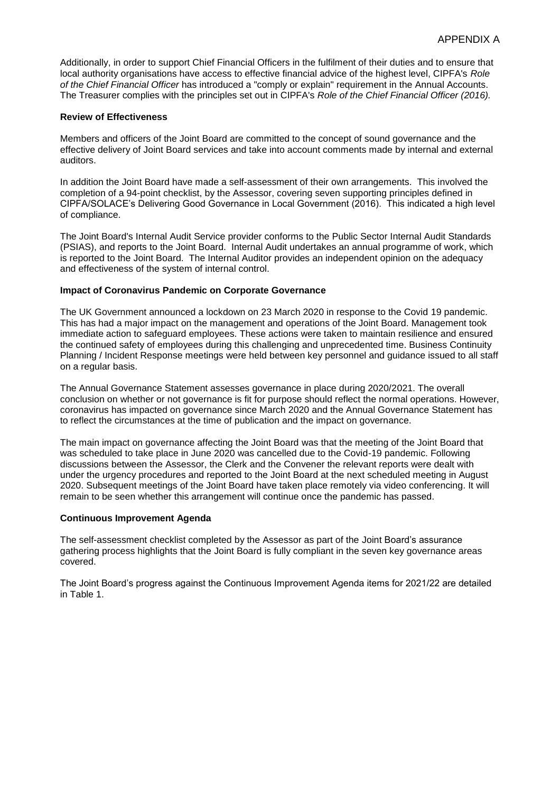Additionally, in order to support Chief Financial Officers in the fulfilment of their duties and to ensure that local authority organisations have access to effective financial advice of the highest level, CIPFA's *Role of the Chief Financial Officer* has introduced a "comply or explain" requirement in the Annual Accounts. The Treasurer complies with the principles set out in CIPFA's *Role of the Chief Financial Officer (2016).*

### **Review of Effectiveness**

Members and officers of the Joint Board are committed to the concept of sound governance and the effective delivery of Joint Board services and take into account comments made by internal and external auditors.

In addition the Joint Board have made a self-assessment of their own arrangements. This involved the completion of a 94-point checklist, by the Assessor, covering seven supporting principles defined in CIPFA/SOLACE's Delivering Good Governance in Local Government (2016). This indicated a high level of compliance.

The Joint Board's Internal Audit Service provider conforms to the Public Sector Internal Audit Standards (PSIAS), and reports to the Joint Board. Internal Audit undertakes an annual programme of work, which is reported to the Joint Board. The Internal Auditor provides an independent opinion on the adequacy and effectiveness of the system of internal control.

#### **Impact of Coronavirus Pandemic on Corporate Governance**

The UK Government announced a lockdown on 23 March 2020 in response to the Covid 19 pandemic. This has had a major impact on the management and operations of the Joint Board. Management took immediate action to safeguard employees. These actions were taken to maintain resilience and ensured the continued safety of employees during this challenging and unprecedented time. Business Continuity Planning / Incident Response meetings were held between key personnel and guidance issued to all staff on a regular basis.

The Annual Governance Statement assesses governance in place during 2020/2021. The overall conclusion on whether or not governance is fit for purpose should reflect the normal operations. However, coronavirus has impacted on governance since March 2020 and the Annual Governance Statement has to reflect the circumstances at the time of publication and the impact on governance.

The main impact on governance affecting the Joint Board was that the meeting of the Joint Board that was scheduled to take place in June 2020 was cancelled due to the Covid-19 pandemic. Following discussions between the Assessor, the Clerk and the Convener the relevant reports were dealt with under the urgency procedures and reported to the Joint Board at the next scheduled meeting in August 2020. Subsequent meetings of the Joint Board have taken place remotely via video conferencing. It will remain to be seen whether this arrangement will continue once the pandemic has passed.

#### **Continuous Improvement Agenda**

The self-assessment checklist completed by the Assessor as part of the Joint Board's assurance gathering process highlights that the Joint Board is fully compliant in the seven key governance areas covered.

The Joint Board's progress against the Continuous Improvement Agenda items for 2021/22 are detailed in Table 1.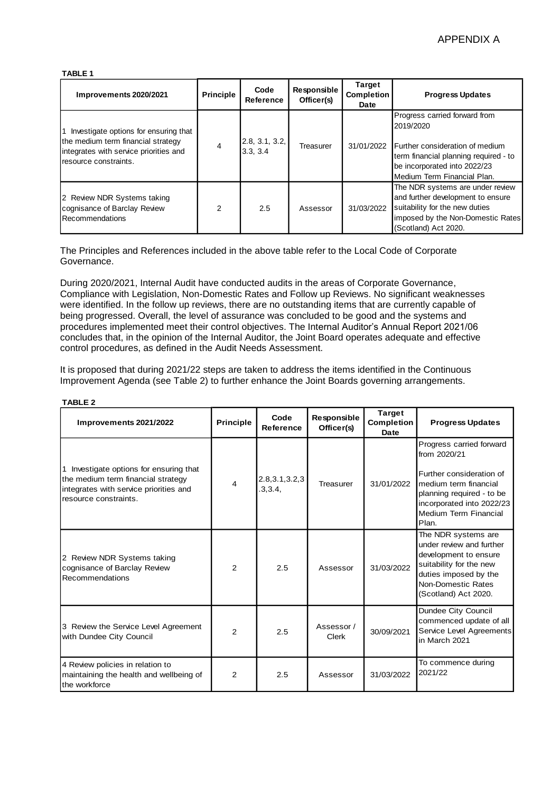#### **TABLE 1**

| Improvements 2020/2021                                                                                                                         | Principle      | Code<br>Reference         | Responsible<br>Officer(s) | <b>Target</b><br><b>Completion</b><br>Date | <b>Progress Updates</b>                                                                                                                                                               |
|------------------------------------------------------------------------------------------------------------------------------------------------|----------------|---------------------------|---------------------------|--------------------------------------------|---------------------------------------------------------------------------------------------------------------------------------------------------------------------------------------|
| Investigate options for ensuring that<br>the medium term financial strategy<br>integrates with service priorities and<br>resource constraints. | 4              | 2.8, 3.1, 3.2,<br>3.3.3.4 | Treasurer                 | 31/01/2022                                 | Progress carried forward from<br>2019/2020<br>Further consideration of medium<br>term financial planning required - to<br>be incorporated into 2022/23<br>Medium Term Financial Plan. |
| 2 Review NDR Systems taking<br>cognisance of Barclay Review<br><b>Recommendations</b>                                                          | $\overline{2}$ | 2.5                       | Assessor                  | 31/03/2022                                 | The NDR systems are under review<br>and further development to ensure<br>suitability for the new duties<br>imposed by the Non-Domestic Rates<br>(Scotland) Act 2020.                  |

The Principles and References included in the above table refer to the Local Code of Corporate Governance.

During 2020/2021, Internal Audit have conducted audits in the areas of Corporate Governance, Compliance with Legislation, Non-Domestic Rates and Follow up Reviews. No significant weaknesses were identified. In the follow up reviews, there are no outstanding items that are currently capable of being progressed. Overall, the level of assurance was concluded to be good and the systems and procedures implemented meet their control objectives. The Internal Auditor's Annual Report 2021/06 concludes that, in the opinion of the Internal Auditor, the Joint Board operates adequate and effective control procedures, as defined in the Audit Needs Assessment.

It is proposed that during 2021/22 steps are taken to address the items identified in the Continuous Improvement Agenda (see Table 2) to further enhance the Joint Boards governing arrangements.

| Improvements 2021/2022                                                                                                                         | <b>Principle</b> | Code<br>Reference           | Responsible<br>Officer(s) | <b>Target</b><br><b>Completion</b><br>Date | <b>Progress Updates</b>                                                                                                                                                                   |
|------------------------------------------------------------------------------------------------------------------------------------------------|------------------|-----------------------------|---------------------------|--------------------------------------------|-------------------------------------------------------------------------------------------------------------------------------------------------------------------------------------------|
| Investigate options for ensuring that<br>the medium term financial strategy<br>integrates with service priorities and<br>resource constraints. | 4                | 2.8, 3.1, 3.2, 3<br>.3,3.4, | Treasurer                 | 31/01/2022                                 | Progress carried forward<br>from 2020/21<br>Further consideration of<br>medium term financial<br>planning required - to be<br>incorporated into 2022/23<br>Medium Term Financial<br>Plan. |
| 2 Review NDR Systems taking<br>cognisance of Barclay Review<br>Recommendations                                                                 | $\mathfrak{p}$   | 2.5                         | Assessor                  | 31/03/2022                                 | The NDR systems are<br>under review and further<br>development to ensure<br>suitability for the new<br>duties imposed by the<br>Non-Domestic Rates<br>(Scotland) Act 2020.                |
| 3 Review the Service Level Agreement<br>with Dundee City Council                                                                               | $\mathcal{P}$    | 2.5                         | Assessor/<br>Clerk        | 30/09/2021                                 | Dundee City Council<br>commenced update of all<br>Service Level Agreements<br>in March 2021                                                                                               |
| 4 Review policies in relation to<br>maintaining the health and wellbeing of<br>the workforce                                                   | $\overline{2}$   | 2.5                         | Assessor                  | 31/03/2022                                 | To commence during<br>2021/22                                                                                                                                                             |

#### **TABLE 2**